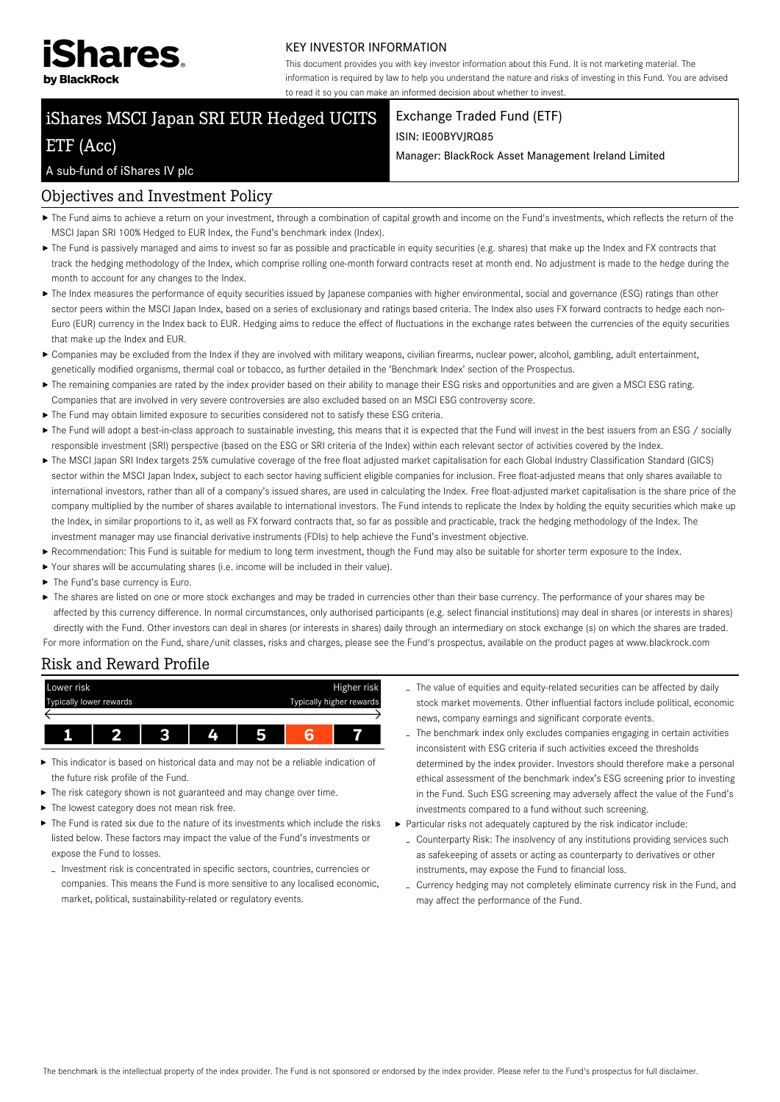

#### KEY INVESTOR INFORMATION

This document provides you with key investor information about this Fund. It is not marketing material. The information is required by law to help you understand the nature and risks of investing in this Fund. You are advised to read it so you can make an informed decision about whether to invest.

# iShares MSCI Japan SRI EUR Hedged UCITS

## ETF (Acc)

## Exchange Traded Fund (ETF)

#### ISIN: IE00BYVJRQ85

Manager: BlackRock Asset Management Ireland Limited

### A sub-fund of iShares IV plc

## Objectives and Investment Policy

- ▶ The Fund aims to achieve a return on your investment, through a combination of capital growth and income on the Fund's investments, which reflects the return of the MSCI Japan SRI 100% Hedged to EUR Index, the Fund's benchmark index (Index).
- ▶ The Fund is passively managed and aims to invest so far as possible and practicable in equity securities (e.g. shares) that make up the Index and FX contracts that track the hedging methodology of the Index, which comprise rolling one-month forward contracts reset at month end. No adjustment is made to the hedge during the month to account for any changes to the Index.
- ▶ The Index measures the performance of equity securities issued by Japanese companies with higher environmental, social and governance (ESG) ratings than other sector peers within the MSCI Japan Index, based on a series of exclusionary and ratings based criteria. The Index also uses FX forward contracts to hedge each non-Euro (EUR) currency in the Index back to EUR. Hedging aims to reduce the effect of fluctuations in the exchange rates between the currencies of the equity securities that make up the Index and EUR.
- Companies may be excluded from the Index if they are involved with military weapons, civilian firearms, nuclear power, alcohol, gambling, adult entertainment, genetically modified organisms, thermal coal or tobacco, as further detailed in the 'Benchmark Index' section of the Prospectus.
- ▶ The remaining companies are rated by the index provider based on their ability to manage their ESG risks and opportunities and are given a MSCI ESG rating. Companies that are involved in very severe controversies are also excluded based on an MSCI ESG controversy score.
- The Fund may obtain limited exposure to securities considered not to satisfy these ESG criteria.
- ▶ The Fund will adopt a best-in-class approach to sustainable investing, this means that it is expected that the Fund will invest in the best issuers from an ESG / socially responsible investment (SRI) perspective (based on the ESG or SRI criteria of the Index) within each relevant sector of activities covered by the Index.
- The MSCI Japan SRI Index targets 25% cumulative coverage of the free float adjusted market capitalisation for each Global Industry Classification Standard (GICS) sector within the MSCI Japan Index, subject to each sector having sufficient eligible companies for inclusion. Free float-adjusted means that only shares available to international investors, rather than all of a company's issued shares, are used in calculating the Index. Free float-adjusted market capitalisation is the share price of the company multiplied by the number of shares available to international investors. The Fund intends to replicate the Index by holding the equity securities which make up the Index, in similar proportions to it, as well as FX forward contracts that, so far as possible and practicable, track the hedging methodology of the Index. The investment manager may use financial derivative instruments (FDIs) to help achieve the Fund's investment objective.
- Recommendation: This Fund is suitable for medium to long term investment, though the Fund may also be suitable for shorter term exposure to the Index.
- Your shares will be accumulating shares (i.e. income will be included in their value).
- ▶ The Fund's base currency is Euro.
- ▶ The shares are listed on one or more stock exchanges and may be traded in currencies other than their base currency. The performance of your shares may be affected by this currency difference. In normal circumstances, only authorised participants (e.g. select financial institutions) may deal in shares (or interests in shares) directly with the Fund. Other investors can deal in shares (or interests in shares) daily through an intermediary on stock exchange (s) on which the shares are traded. For more information on the Fund, share/unit classes, risks and charges, please see the Fund's prospectus, available on the product pages at www.blackrock.com

Risk and Reward Profile



- This indicator is based on historical data and may not be a reliable indication of k. the future risk profile of the Fund.
- The risk category shown is not guaranteed and may change over time. ь
- The lowest category does not mean risk free.
- The Fund is rated six due to the nature of its investments which include the risks listed below. These factors may impact the value of the Fund's investments or expose the Fund to losses.
	- Investment risk is concentrated in specific sectors, countries, currencies or companies. This means the Fund is more sensitive to any localised economic, market, political, sustainability-related or regulatory events.
- The value of equities and equity-related securities can be affected by daily stock market movements. Other influential factors include political, economic news, company earnings and significant corporate events.
- The benchmark index only excludes companies engaging in certain activities inconsistent with ESG criteria if such activities exceed the thresholds determined by the index provider. Investors should therefore make a personal ethical assessment of the benchmark index's ESG screening prior to investing in the Fund. Such ESG screening may adversely affect the value of the Fund's investments compared to a fund without such screening.
- Particular risks not adequately captured by the risk indicator include:
	- Counterparty Risk: The insolvency of any institutions providing services such as safekeeping of assets or acting as counterparty to derivatives or other instruments, may expose the Fund to financial loss.
	- Currency hedging may not completely eliminate currency risk in the Fund, and may affect the performance of the Fund.